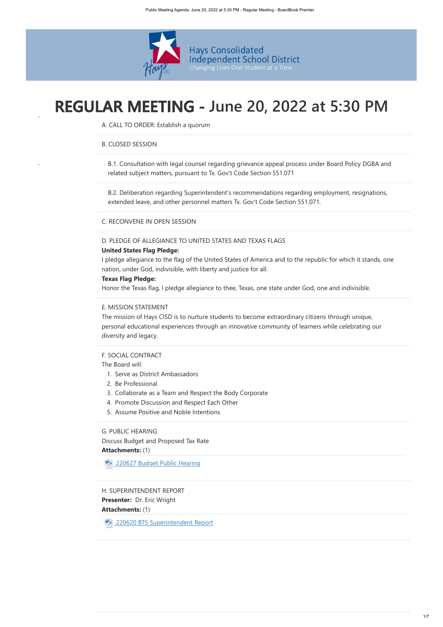

# **REGULAR MEETING - June 20, 2022 at 5:30 PM**

A. CALL TO ORDER: Establish a quorum

# B. CLOSED SESSION

B.1. Consultation with legal counsel regarding grievance appeal process under Board Policy DGBA and related subject matters, pursuant to Tx. Gov't Code Section 551.071

B.2. Deliberation regarding Superintendent's recommendations regarding employment, resignations, extended leave, and other personnel matters Tx. Gov't Code Section 551.071.

# C. RECONVENE IN OPEN SESSION

# D. PLEDGE OF ALLEGIANCE TO UNITED STATES AND TEXAS FLAGS

# **United States Flag Pledge:**

**Presenter: Dr. Eric Wright Attachments:** (1) H. SUPERINTENDENT REPORT

**MET [220620 BTS Superintendent Report](https://meetings.boardbook.org/Documents/FileViewerOrPublic/1858?file=9201fbf1-98ef-4656-9855-266bf5fe7479&isFromMeeting=True)** 

I pledge allegiance to the flag of the United States of America and to the republic for which it stands, one nation, under God, indivisible, with liberty and justice for all.

**Attachments:** (1) Discuss Budget and Proposed Tax Rate

**ME [220627 Budget Public Hearing](https://meetings.boardbook.org/Documents/FileViewerOrPublic/1858?file=665c2a91-625a-4f72-b234-75756b8fa8cb&isFromMeeting=True)** 

# **Texas Flag Pledge:**

Honor the Texas flag, I pledge allegiance to thee, Texas, one state under God, one and indivisible.

# E. MISSION STATEMENT

The mission of Hays CISD is to nurture students to become extraordinary citizens through unique, personal educational experiences through an innovative community of learners while celebrating our diversity and legacy.

# F. SOCIAL CONTRACT

The Board will:

- 1. Serve as District Ambassadors
- 2. Be Professional
- 3. Collaborate as a Team and Respect the Body Corporate
- 4. Promote Discussion and Respect Each Other
- 5. Assume Positive and Noble Intentions

# G. PUBLIC HEARING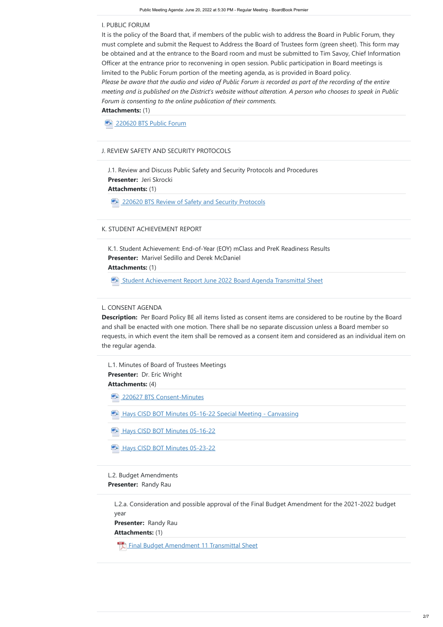**Attachments:** (1)

**ME [220620 BTS Public Forum](https://meetings.boardbook.org/Documents/FileViewerOrPublic/1858?file=7d0e0d0f-df81-492d-9bed-90fb702f4167&isFromMeeting=True)** 

**Description:** Per Board Policy BE all items listed as consent items are considered to be routine by the Board and shall be enacted with one motion. There shall be no separate discussion unless a Board member so requests, in which event the item shall be removed as a consent item and considered as an individual item on the regular agenda.

#### I. PUBLIC FORUM

**Presenter:**  Jeri Skrocki **Attachments:** (1) J.1. Review and Discuss Public Safety and Security Protocols and Procedures

**ELA** [220620 BTS Review of Safety and Security Protocols](https://meetings.boardbook.org/Documents/FileViewerOrPublic/1858?file=31ac489c-8950-418d-a0f8-f0250def5df6&isFromMeeting=True)

**Presenter: Dr. Eric Wright Attachments:** (4) L.1. Minutes of Board of Trustees Meetings

**WE [220627 BTS Consent-Minutes](https://meetings.boardbook.org/Documents/FileViewerOrPublic/1858?file=4e3ccb39-7b00-496f-b37a-4282640cf9d1&isFromMeeting=True)** 

**ME:** [Hays CISD BOT Minutes 05-16-22 Special Meeting - Canvassing](https://meetings.boardbook.org/Documents/FileViewerOrPublic/1858?file=47bfc3c2-abfc-4ae8-b25b-e9e55652fb8f&isFromMeeting=True)

**ME:** [Hays CISD BOT Minutes 05-16-22](https://meetings.boardbook.org/Documents/FileViewerOrPublic/1858?file=0a932f77-e0e0-4319-958f-beaebaa017ca&isFromMeeting=True)

ME [Hays CISD BOT Minutes 05-23-22](https://meetings.boardbook.org/Documents/FileViewerOrPublic/1858?file=ab300bfa-8bf8-4003-84ab-ccf6a632bff9&isFromMeeting=True)

**Presenter:**  Marivel Sedillo and Derek McDaniel **Attachments:** (1) K.1. Student Achievement: End-of-Year (EOY) mClass and PreK Readiness Results

**WE [Student Achievement Report June 2022 Board Agenda Transmittal Sheet](https://meetings.boardbook.org/Documents/FileViewerOrPublic/1858?file=7005fb21-8098-403c-b536-bfbebc97fb7f&isFromMeeting=True)** 

It is the policy of the Board that, if members of the public wish to address the Board in Public Forum, they must complete and submit the Request to Address the Board of Trustees form (green sheet). This form may be obtained and at the entrance to the Board room and must be submitted to Tim Savoy, Chief Information Officer at the entrance prior to reconvening in open session. Public participation in Board meetings is limited to the Public Forum portion of the meeting agenda, as is provided in Board policy. *Please be aware that the audio and video of Public Forum is recorded as part of the recording of the entire meeting and is published on the District's website without alteration. A person who chooses to speak in Public Forum is consenting to the online publication of their comments.*

**Presenter:**  Randy Rau L.2. Budget Amendments

**Presenter:**  Randy Rau **Attachments:** (1) L.2.a. Consideration and possible approval of the Final Budget Amendment for the 2021-2022 budget year

[Final Budget Amendment 11 Transmittal Sheet](https://meetings.boardbook.org/Documents/FileViewerOrPublic/1858?file=69689688-c506-401c-b988-9d82b18bbaf2&isFromMeeting=True)

# J. REVIEW SAFETY AND SECURITY PROTOCOLS

# K. STUDENT ACHIEVEMENT REPORT

#### L. CONSENT AGENDA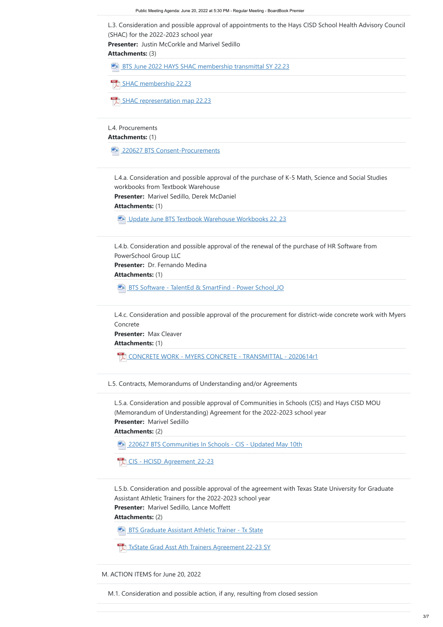**Presenter:**  Justin McCorkle and Marivel Sedillo

**Attachments:** (3)

**[BTS June 2022 HAYS SHAC membership transmittal SY 22.23](https://meetings.boardbook.org/Documents/FileViewerOrPublic/1858?file=7e984c85-9513-43b5-b6e1-e303ed855b1e&isFromMeeting=True)** 

**[SHAC membership 22.23](https://meetings.boardbook.org/Documents/FileViewerOrPublic/1858?file=d1cd6159-c4a7-4db6-9324-bffc2c146514&isFromMeeting=True)** 

**Attachments:** (1)

**WE [220627 BTS Consent-Procurements](https://meetings.boardbook.org/Documents/FileViewerOrPublic/1858?file=9b5ef70b-f656-4a08-99ec-f091d7006526&isFromMeeting=True)** 

**Presenter:**  Marivel Sedillo, Derek McDaniel

**Attachments:** (1)

WE [Update June BTS Textbook Warehouse Workbooks 22\\_23](https://meetings.boardbook.org/Documents/FileViewerOrPublic/1858?file=46333560-f1bd-45c8-b0d9-c47ed1d6b6a7&isFromMeeting=True)

**Presenter:**  Max Cleaver

**Attachments:** (1)

**Attachments:** (2)

**ME:** [BTS Graduate Assistant Athletic Trainer - Tx State](https://meetings.boardbook.org/Documents/FileViewerOrPublic/1858?file=16d91ea3-b0cf-4674-a952-49ea3ca58210&isFromMeeting=True)

[TxState Grad Asst Ath Trainers Agreement 22-23 SY](https://meetings.boardbook.org/Documents/FileViewerOrPublic/1858?file=65711861-1752-411c-92e5-f43c47de90bb&isFromMeeting=True)

L.3. Consideration and possible approval of appointments to the Hays CISD School Health Advisory Council (SHAC) for the 2022-2023 school year

**Presenter: Dr. Fernando Medina Attachments:** (1) L.4.b. Consideration and possible approval of the renewal of the purchase of HR Software from PowerSchool Group LLC

**ME:** BTS Software - TalentEd & SmartFind - Power School JO

[SHAC representation map 22.23](https://meetings.boardbook.org/Documents/FileViewerOrPublic/1858?file=c4cdd301-c3a0-4cf5-aab6-f26d547c18db&isFromMeeting=True)

#### L.4. Procurements

[220627 BTS Communities In Schools - CIS - Updated May 10th](https://meetings.boardbook.org/Documents/FileViewerOrPublic/1858?file=1f47720a-759a-4a95-a2ef-49e8f5d548be&isFromMeeting=True) WE

L.4.a. Consideration and possible approval of the purchase of K-5 Math, Science and Social Studies workbooks from Textbook Warehouse

**Presenter:**  Marivel Sedillo **Attachments:** (2) L.5.a. Consideration and possible approval of Communities in Schools (CIS) and Hays CISD MOU (Memorandum of Understanding) Agreement for the 2022-2023 school year

**Presenter:**  Marivel Sedillo, Lance Moffett L.5.b. Consideration and possible approval of the agreement with Texas State University for Graduate Assistant Athletic Trainers for the 2022-2023 school year

L.4.c. Consideration and possible approval of the procurement for district-wide concrete work with Myers Concrete

[CONCRETE WORK - MYERS CONCRETE - TRANSMITTAL - 2020614r1](https://meetings.boardbook.org/Documents/FileViewerOrPublic/1858?file=bb59eb30-2c16-4a67-b19a-f083ab25b209&isFromMeeting=True)

L.5. Contracts, Memorandums of Understanding and/or Agreements



M. ACTION ITEMS for June 20, 2022

M.1. Consideration and possible action, if any, resulting from closed session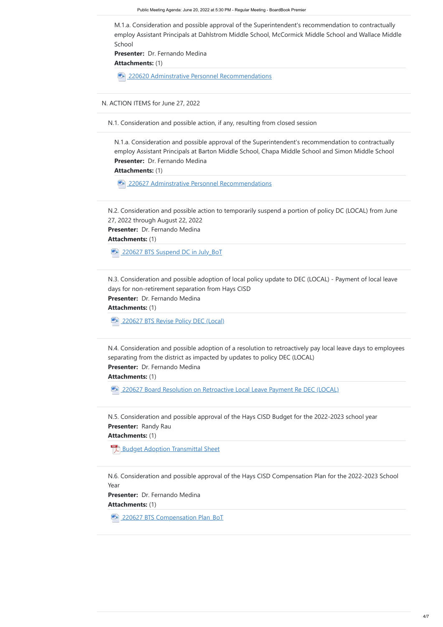**Attachments:** (1)

**ME** [220620 Adminstrative Personnel Recommendations](https://meetings.boardbook.org/Documents/FileViewerOrPublic/1858?file=92e8f091-977b-46b4-9a6e-d76e8d797511&isFromMeeting=True)

**Attachments:** (1)

**ME:** [220627 Adminstrative Personnel Recommendations](https://meetings.boardbook.org/Documents/FileViewerOrPublic/1858?file=7cf16ac8-726e-44c5-bac8-590ea65cdf7f&isFromMeeting=True)

**Attachments:** (1)

**ME 220627 BTS Suspend DC in July BoT** 

**Attachments:** (1)

**WE [220627 BTS Revise Policy DEC \(Local\)](https://meetings.boardbook.org/Documents/FileViewerOrPublic/1858?file=2d88d1c7-b31e-43e2-aae2-6162c03bc59d&isFromMeeting=True)** 

**Attachments:** (1)

**ELA** [220627 Board Resolution on Retroactive Local Leave Payment Re DEC \(LOCAL\)](https://meetings.boardbook.org/Documents/FileViewerOrPublic/1858?file=950c3708-ef9b-4aae-acf9-3934c74561d9&isFromMeeting=True)

**Attachments:** (1)

**[Budget Adoption Transmittal Sheet](https://meetings.boardbook.org/Documents/FileViewerOrPublic/1858?file=865df49f-5f68-4e48-933a-3448ab55673e&isFromMeeting=True)** 

**Attachments:** (1)

**WE 220627 BTS Compensation Plan BoT** 

Presenter: Dr. Fernando Medina N.1.a. Consideration and possible approval of the Superintendent's recommendation to contractually employ Assistant Principals at Barton Middle School, Chapa Middle School and Simon Middle School

M.1.a. Consideration and possible approval of the Superintendent's recommendation to contractually employ Assistant Principals at Dahlstrom Middle School, McCormick Middle School and Wallace Middle School

**Presenter: Dr. Fernando Medina** 

N. ACTION ITEMS for June 27, 2022

N.1. Consideration and possible action, if any, resulting from closed session

**Presenter:**  Randy Rau N.5. Consideration and possible approval of the Hays CISD Budget for the 2022-2023 school year

N.2. Consideration and possible action to temporarily suspend a portion of policy DC (LOCAL) from June 27, 2022 through August 22, 2022

Presenter: Dr. Fernando Medina

N.3. Consideration and possible adoption of local policy update to DEC (LOCAL) - Payment of local leave days for non-retirement separation from Hays CISD

Presenter: Dr. Fernando Medina

N.4. Consideration and possible adoption of a resolution to retroactively pay local leave days to employees separating from the district as impacted by updates to policy DEC (LOCAL)

Presenter: Dr. Fernando Medina

N.6. Consideration and possible approval of the Hays CISD Compensation Plan for the 2022-2023 School Year

**Presenter:** Dr. Fernando Medina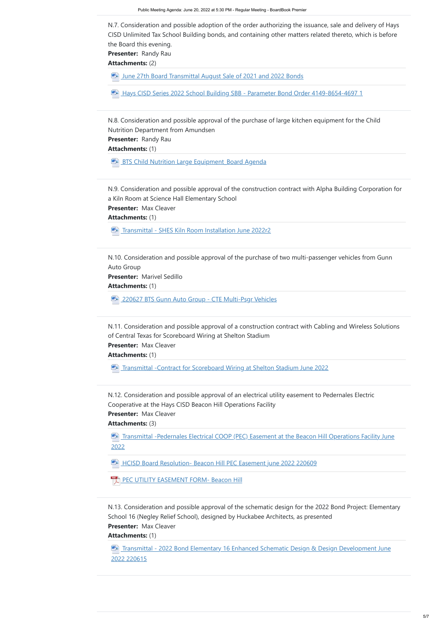**Presenter:**  Randy Rau

**Attachments:** (2)

**WE [June 27th Board Transmittal August Sale of 2021 and 2022 Bonds](https://meetings.boardbook.org/Documents/FileViewerOrPublic/1858?file=fe9695d1-4c32-4d63-a13b-bb6c1c5997ab&isFromMeeting=True)** 

**MEF** [Hays CISD Series 2022 School Building SBB - Parameter Bond Order 4149-8654-4697 1](https://meetings.boardbook.org/Documents/FileViewerOrPublic/1858?file=402539c4-0070-4382-a42e-fe00412cb036&isFromMeeting=True)

**Presenter:**  Randy Rau

**Attachments:** (1)

**BTS Child Nutrition Large Equipment Board Agenda** 

**Presenter:**  Max Cleaver

**Attachments:** (1)

**ME:** [Transmittal - SHES Kiln Room Installation June 2022r2](https://meetings.boardbook.org/Documents/FileViewerOrPublic/1858?file=186ea6f2-8b01-4ae3-8161-207980356c11&isFromMeeting=True)

**Attachments:** (1)

**[220627 BTS Gunn Auto Group - CTE Multi-Psgr Vehicles](https://meetings.boardbook.org/Documents/FileViewerOrPublic/1858?file=1a641cc5-0abc-4c7a-9054-846fb78a5d84&isFromMeeting=True)** 

**Presenter:**  Max Cleaver

**Attachments:** (1)

**EXALUTE:** [Transmittal -Contract for Scoreboard Wiring at Shelton Stadium June 2022](https://meetings.boardbook.org/Documents/FileViewerOrPublic/1858?file=276a5ee5-3cc6-4540-bb6d-66b78fe1d590&isFromMeeting=True)

**Presenter:**  Max Cleaver

**Attachments:** (3)

N.7. Consideration and possible adoption of the order authorizing the issuance, sale and delivery of Hays CISD Unlimited Tax School Building bonds, and containing other matters related thereto, which is before the Board this evening.

**Presenter:**  Marivel Sedillo N.10. Consideration and possible approval of the purchase of two multi-passenger vehicles from Gunn Auto Group

N.8. Consideration and possible approval of the purchase of large kitchen equipment for the Child Nutrition Department from Amundsen

**EXALDED [Transmittal -Pedernales Electrical COOP \(PEC\) Easement at the Beacon Hill Operations Facility June](https://meetings.boardbook.org/Documents/FileViewerOrPublic/1858?file=f111c7f6-8e5d-43da-b571-8ea4e2ad21fc&isFromMeeting=True)** 2022

**MEF** [HCISD Board Resolution- Beacon Hill PEC Easement june 2022 220609](https://meetings.boardbook.org/Documents/FileViewerOrPublic/1858?file=3bd9abc9-8cfc-4947-8fa3-6157d6ec5323&isFromMeeting=True)

N.9. Consideration and possible approval of the construction contract with Alpha Building Corporation for a Kiln Room at Science Hall Elementary School

**The Stransmittal - 2022 Bond Elementary 16 Enhanced Schematic Design & Design Development June** 2022 220615

**Presenter:**  Max Cleaver **Attachments:** (1) N.13. Consideration and possible approval of the schematic design for the 2022 Bond Project: Elementary School 16 (Negley Relief School), designed by Huckabee Architects, as presented

N.11. Consideration and possible approval of a construction contract with Cabling and Wireless Solutions of Central Texas for Scoreboard Wiring at Shelton Stadium

N.12. Consideration and possible approval of an electrical utility easement to Pedernales Electric Cooperative at the Hays CISD Beacon Hill Operations Facility

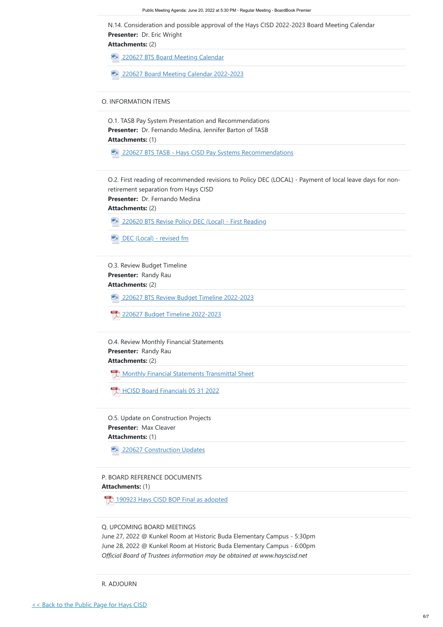[<< Back to the Public Page for Hays CISD](https://meetings.boardbook.org/Public/Organization/1858)

**Attachments:** (2)

# **Attachments:** (2)

**ME:** [220620 BTS Revise Policy DEC \(Local\) - First Reading](https://meetings.boardbook.org/Documents/FileViewerOrPublic/1858?file=3d1875fd-ddcf-4a41-98cf-f20ab1ac4c21&isFromMeeting=True)

**WE [DEC \(Local\) - revised fm](https://meetings.boardbook.org/Documents/FileViewerOrPublic/1858?file=0bb46aba-cc02-40c9-ab45-7cf975848af7&isFromMeeting=True)** 

- **WE [220627 BTS Board Meeting Calendar](https://meetings.boardbook.org/Documents/FileViewerOrPublic/1858?file=3bd3f4b3-8ea8-4a14-ae31-93696173007e&isFromMeeting=True)**
- $W -$ [220627 Board Meeting Calendar 2022-2023](https://meetings.boardbook.org/Documents/FileViewerOrPublic/1858?file=6022a634-5864-4d24-9550-a2fcf7da04f7&isFromMeeting=True)

**Presenter:**  Dr. Eric Wright N.14. Consideration and possible approval of the Hays CISD 2022-2023 Board Meeting Calendar

#### **Attachments:** (2)

**[Monthly Financial Statements Transmittal Sheet](https://meetings.boardbook.org/Documents/FileViewerOrPublic/1858?file=a758da95-7671-4cbd-ad6f-46c374cda405&isFromMeeting=True)** 

**Presenter:**  Dr. Fernando Medina, Jennifer Barton of TASB **Attachments:** (1) O.1. TASB Pay System Presentation and Recommendations

**ELA** [220627 BTS TASB - Hays CISD Pay Systems Recommendations](https://meetings.boardbook.org/Documents/FileViewerOrPublic/1858?file=9fa1e224-648f-43a6-954a-30435f29348e&isFromMeeting=True)

**Attachments:** (1)

Presenter: Dr. Fernando Medina O.2. First reading of recommended revisions to Policy DEC (LOCAL) - Payment of local leave days for nonretirement separation from Hays CISD

WE [220627 BTS Review Budget Timeline 2022-2023](https://meetings.boardbook.org/Documents/FileViewerOrPublic/1858?file=d6e79b06-f26d-409e-beb6-82e1c842e67b&isFromMeeting=True)

 $\mathbb{P}^{\text{DF}}$ [HCISD Board Financials 05 31 2022](https://meetings.boardbook.org/Documents/FileViewerOrPublic/1858?file=9d8f927d-2e9a-42c9-a117-23256d0d32cc&isFromMeeting=True)

# O. INFORMATION ITEMS

**Presenter:**  Randy Rau **Attachments:** (2) O.3. Review Budget Timeline

 $\frac{PDF}{\lambda}$ [190923 Hays CISD BOP Final as adopted](https://meetings.boardbook.org/Documents/FileViewerOrPublic/1858?file=ebdd9de6-08f8-4b1f-a649-d9696bec2883&isFromMeeting=True)

**Presenter:**  Randy Rau O.4. Review Monthly Financial Statements

**Presenter:**  Max Cleaver **Attachments:** (1) O.5. Update on Construction Projects

[220627 Budget Timeline 2022-2023](https://meetings.boardbook.org/Documents/FileViewerOrPublic/1858?file=ba1a5d9e-facf-40f6-bdb7-0742fed55ace&isFromMeeting=True)



P. BOARD REFERENCE DOCUMENTS

Q. UPCOMING BOARD MEETINGS

June 27, 2022 @ Kunkel Room at Historic Buda Elementary Campus - 5:30pm June 28, 2022 @ Kunkel Room at Historic Buda Elementary Campus - 6:00pm *Official Board of Trustees information may be obtained at www.hayscisd.net*

R. ADJOURN